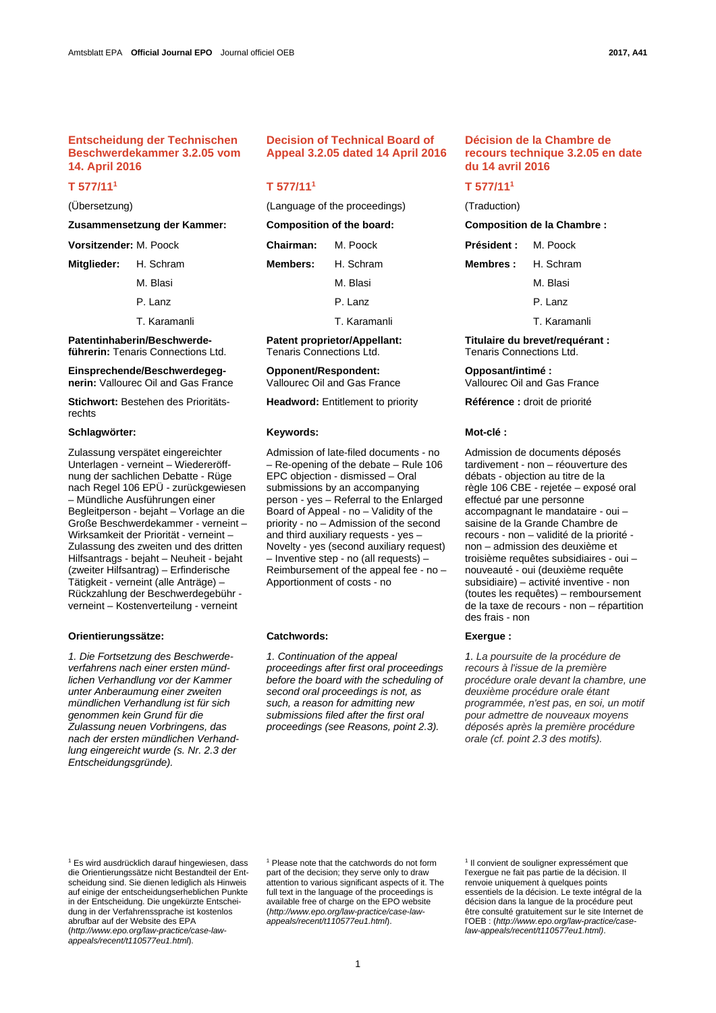## **Entscheidung der Technischen Beschwerdekammer 3.2.05 vom 14. April 2016**

# **T 577/111**

### **Zusammensetzung der Kammer: Composition of the board: Composition de la Chambre :**

- 
- 
- 

**Patentinhaberin/Beschwerdeführerin:** Tenaris Connections Ltd.

**Einsprechende/Beschwerdegegnerin:** Vallourec Oil and Gas France

**Stichwort:** Bestehen des Prioritätsrechts

### Schlagwörter: **Mot-clé :** *Keywords:* **Keywords: Mot-clé :** *Mot-clé :* **<b>Mot-clé : Mot-clé : Mot-clé : Mot-clé : Mot-clé : Mot-clé : Mot-clé : Mot-clé : Mot-clé : Mot-clé : Mot-clé : Mot-clé : Mot-clé**

Zulassung verspätet eingereichter Unterlagen - verneint – Wiedereröffnung der sachlichen Debatte - Rüge nach Regel 106 EPÜ - zurückgewiesen – Mündliche Ausführungen einer Begleitperson - bejaht – Vorlage an die Große Beschwerdekammer - verneint – Wirksamkeit der Priorität - verneint – Zulassung des zweiten und des dritten Hilfsantrags - bejaht – Neuheit - bejaht (zweiter Hilfsantrag) – Erfinderische Tätigkeit - verneint (alle Anträge) – Rückzahlung der Beschwerdegebühr verneint – Kostenverteilung - verneint

### **Orientierungssätze: Catchwords: Exergue :**

*1. Die Fortsetzung des Beschwerdeverfahrens nach einer ersten mündlichen Verhandlung vor der Kammer unter Anberaumung einer zweiten mündlichen Verhandlung ist für sich genommen kein Grund für die Zulassung neuen Vorbringens, das nach der ersten mündlichen Verhandlung eingereicht wurde (s. Nr. 2.3 der Entscheidungsgründe).* 

### **Decision of Technical Board of Appeal 3.2.05 dated 14 April 2016**

## **T 577/111**

(Übersetzung) (Language of the proceedings) (Traduction)

| Zusammensetzung der Kammer:   |          | Composition of the board: |           | <b>Composition de la Cham</b> |          |
|-------------------------------|----------|---------------------------|-----------|-------------------------------|----------|
| <b>Vorsitzender: M. Poock</b> |          | <b>Chairman:</b>          | M. Poock  | <b>Président:</b> M. Poock    |          |
| Mitglieder: H. Schram         |          | <b>Members:</b>           | H. Schram | <b>Membres:</b> H. Schram     |          |
|                               | M. Blasi |                           | M. Blasi  |                               | M. Blasi |

T. Karamanli T. Karamanli T. Karamanli

**Patent proprietor/Appellant:** Tenaris Connections Ltd.

**Opponent/Respondent:** Vallourec Oil and Gas France

**Headword:** Entitlement to priority **Référence :** droit de priorité

Admission of late-filed documents - no – Re-opening of the debate – Rule 106 EPC objection - dismissed – Oral submissions by an accompanying person - yes – Referral to the Enlarged Board of Appeal - no – Validity of the priority - no – Admission of the second and third auxiliary requests - yes – Novelty - yes (second auxiliary request) – Inventive step - no (all requests) – Reimbursement of the appeal fee - no – Apportionment of costs - no

 *1. Continuation of the appeal proceedings after first oral proceedings before the board with the scheduling of second oral proceedings is not, as such, a reason for admitting new submissions filed after the first oral proceedings (see Reasons, point 2.3).* 

# **Décision de la Chambre de recours technique 3.2.05 en date du 14 avril 2016**

### **T 577/111**

P. Lanz P. Lanz P. Lanz P. Lanz P. Lanz P. Lanz P. Lanz P. Lanz

**Titulaire du brevet/requérant :** Tenaris Connections Ltd.

**Opposant/intimé :**  Vallourec Oil and Gas France

Admission de documents déposés tardivement - non – réouverture des débats - objection au titre de la règle 106 CBE - rejetée – exposé oral effectué par une personne accompagnant le mandataire - oui – saisine de la Grande Chambre de recours - non – validité de la priorité non – admission des deuxième et troisième requêtes subsidiaires - oui – nouveauté - oui (deuxième requête subsidiaire) – activité inventive - non (toutes les requêtes) – remboursement de la taxe de recours - non – répartition des frais - non

 *1. La poursuite de la procédure de recours à l'issue de la première procédure orale devant la chambre, une deuxième procédure orale étant programmée, n'est pas, en soi, un motif pour admettre de nouveaux moyens déposés après la première procédure orale (cf. point 2.3 des motifs).* 

1 Es wird ausdrücklich darauf hingewiesen, dass die Orientierungssätze nicht Bestandteil der Entscheidung sind. Sie dienen lediglich als Hinweis auf einige der entscheidungserheblichen Punkte in der Entscheidung. Die ungekürzte Entscheidung in der Verfahrenssprache ist kostenlos abrufbar auf der Website des EPA (*http://www.epo.org/law-practice/case-lawappeals/recent/t110577eu1.html*).

1 Please note that the catchwords do not form part of the decision; they serve only to draw attention to various significant aspects of it. The full text in the language of the proceedings is available free of charge on the EPO website (*http://www.epo.org/law-practice/case-lawappeals/recent/t110577eu1.html*).

1 Il convient de souligner expressément que l'exergue ne fait pas partie de la décision. Il renvoie uniquement à quelques points essentiels de la décision. Le texte intégral de la décision dans la langue de la procédure peut être consulté gratuitement sur le site Internet de l'OEB : (*http://www.epo.org/law-practice/caselaw-appeals/recent/t110577eu1.html)*.